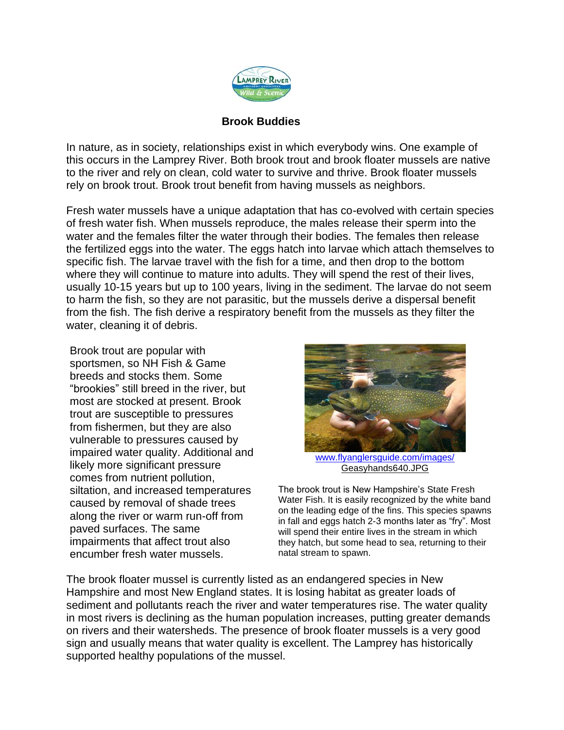

## **Brook Buddies**

In nature, as in society, relationships exist in which everybody wins. One example of this occurs in the Lamprey River. Both brook trout and brook floater mussels are native to the river and rely on clean, cold water to survive and thrive. Brook floater mussels rely on brook trout. Brook trout benefit from having mussels as neighbors.

Fresh water mussels have a unique adaptation that has co-evolved with certain species of fresh water fish. When mussels reproduce, the males release their sperm into the water and the females filter the water through their bodies. The females then release the fertilized eggs into the water. The eggs hatch into larvae which attach themselves to specific fish. The larvae travel with the fish for a time, and then drop to the bottom where they will continue to mature into adults. They will spend the rest of their lives, usually 10-15 years but up to 100 years, living in the sediment. The larvae do not seem to harm the fish, so they are not parasitic, but the mussels derive a dispersal benefit from the fish. The fish derive a respiratory benefit from the mussels as they filter the water, cleaning it of debris.

Brook trout are popular with sportsmen, so NH Fish & Game breeds and stocks them. Some "brookies" still breed in the river, but most are stocked at present. Brook trout are susceptible to pressures from fishermen, but they are also vulnerable to pressures caused by impaired water quality. Additional and likely more significant pressure comes from nutrient pollution, siltation, and increased temperatures caused by removal of shade trees along the river or warm run-off from paved surfaces. The same impairments that affect trout also encumber fresh water mussels.



[www.flyanglersguide.com/images/](http://www.flyanglersguide.com/images/) Geasyhands640.JPG

The brook trout is New Hampshire's State Fresh Water Fish. It is easily recognized by the white band on the leading edge of the fins. This species spawns in fall and eggs hatch 2-3 months later as "fry". Most will spend their entire lives in the stream in which they hatch, but some head to sea, returning to their natal stream to spawn.

The brook floater mussel is currently listed as an endangered species in New Hampshire and most New England states. It is losing habitat as greater loads of sediment and pollutants reach the river and water temperatures rise. The water quality in most rivers is declining as the human population increases, putting greater demands on rivers and their watersheds. The presence of brook floater mussels is a very good sign and usually means that water quality is excellent. The Lamprey has historically supported healthy populations of the mussel.